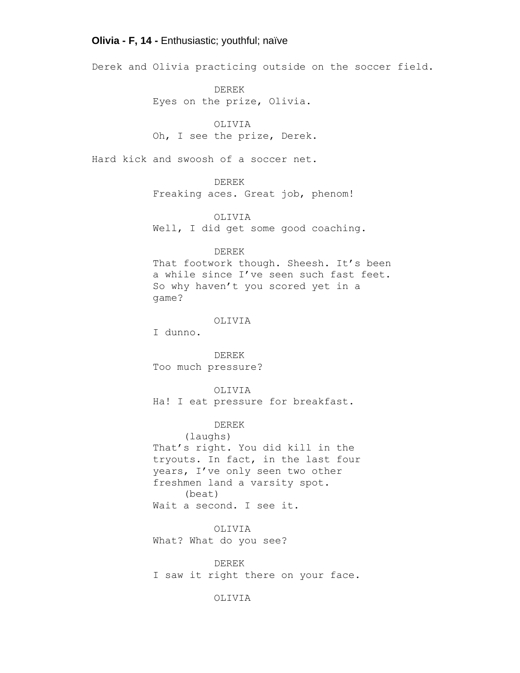## **Olivia - F, 14 -** Enthusiastic; youthful; naïve

Derek and Olivia practicing outside on the soccer field.

DEREK Eyes on the prize, Olivia.

OLIVIA Oh, I see the prize, Derek.

Hard kick and swoosh of a soccer net.

DEREK

Freaking aces. Great job, phenom!

OLIVIA Well, I did get some good coaching.

DEREK

That footwork though. Sheesh. It's been a while since I've seen such fast feet. So why haven't you scored yet in a game?

OLIVIA

I dunno.

DEREK Too much pressure?

OLIVIA Ha! I eat pressure for breakfast.

DEREK (laughs) That's right. You did kill in the tryouts. In fact, in the last four years, I've only seen two other freshmen land a varsity spot. (beat) Wait a second. I see it.

OLIVIA What? What do you see?

DEREK I saw it right there on your face.

OLIVIA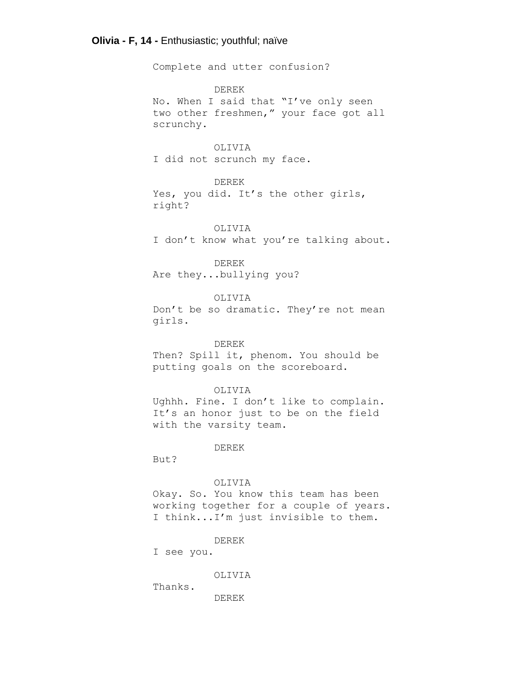## **Olivia - F, 14 -** Enthusiastic; youthful; naïve

Complete and utter confusion?

DEREK No. When I said that "I've only seen two other freshmen," your face got all scrunchy.

OLIVIA I did not scrunch my face.

DEREK Yes, you did. It's the other girls, right?

OLIVIA I don't know what you're talking about.

DEREK Are they...bullying you?

OLIVIA Don't be so dramatic. They're not mean girls.

DEREK

Then? Spill it, phenom. You should be putting goals on the scoreboard.

#### OLIVIA

Ughhh. Fine. I don't like to complain. It's an honor just to be on the field with the varsity team.

DEREK

But?

### OLIVIA

Okay. So. You know this team has been working together for a couple of years. I think...I'm just invisible to them.

DEREK

I see you.

OLIVIA

Thanks.

DEREK